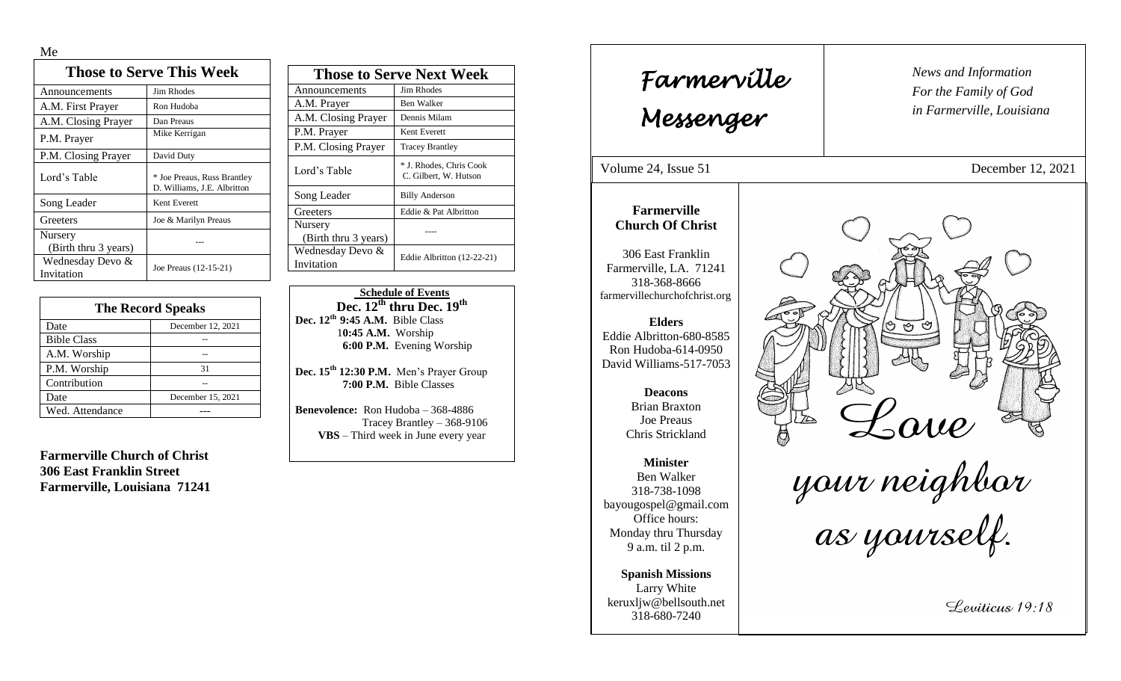Me

| <b>Those to Serve This Week</b> |                                                            |  |
|---------------------------------|------------------------------------------------------------|--|
| Announcements                   | Jim Rhodes                                                 |  |
| A.M. First Prayer               | Ron Hudoba                                                 |  |
| A.M. Closing Prayer             | Dan Preaus                                                 |  |
| P.M. Prayer                     | Mike Kerrigan                                              |  |
| P.M. Closing Prayer             | David Duty                                                 |  |
| Lord's Table                    | * Joe Preaus, Russ Brantley<br>D. Williams, J.E. Albritton |  |
| Song Leader                     | Kent Everett                                               |  |
| Greeters                        | Joe & Marilyn Preaus                                       |  |
| Nursery<br>(Birth thru 3 years) |                                                            |  |
| Wednesday Devo &<br>Invitation  | Joe Preaus (12-15-21)                                      |  |

| <b>The Record Speaks</b> |                   |
|--------------------------|-------------------|
| Date                     | December 12, 2021 |
| <b>Bible Class</b>       |                   |
| A.M. Worship             |                   |
| P.M. Worship             | 31                |
| Contribution             |                   |
| Date                     | December 15, 2021 |
| Wed. Attendance          |                   |

**Farmerville Church of Christ 306 East Franklin Street Farmerville, Louisiana 71241**

| <b>Those to Serve Next Week</b> |                                                  |
|---------------------------------|--------------------------------------------------|
| Announcements                   | Jim Rhodes                                       |
| A.M. Prayer                     | Ben Walker                                       |
| A.M. Closing Prayer             | Dennis Milam                                     |
| P.M. Prayer                     | Kent Everett                                     |
| P.M. Closing Prayer             | <b>Tracey Brantley</b>                           |
| Lord's Table                    | * J. Rhodes, Chris Cook<br>C. Gilbert, W. Hutson |
| Song Leader                     | <b>Billy Anderson</b>                            |
| Greeters                        | Eddie & Pat Albritton                            |
| Nursery<br>(Birth thru 3 years) |                                                  |
| Wednesday Devo &<br>Invitation  | Eddie Albritton (12-22-21)                       |

 **Schedule of Events Dec. 12th thru Dec. 19 th Dec. 12th 9:45 A.M.** Bible Class 1**0:45 A.M.** Worship  **6:00 P.M.** Evening Worship

**Dec. 15th 12:30 P.M.** Men's Prayer Group **7:00 P.M.** Bible Classes

**Benevolence:** Ron Hudoba – 368-4886 Tracey Brantley – 368-9106 **VBS** – Third week in June every year

*News and Information* **Farmerville**  $\begin{bmatrix} \text{News an} \\ \text{For the} \end{bmatrix}$ *For the Family of God in Farmerville, Louisiana Messenger*  Volume 24, Issue 51 December 12, 2021 , 2015 **Farmerville Church Of Christ** 306 East Franklin Farmerville, LA. 71241 318-368-8666 farmervillechurchofchrist.org **Elders** ా Eddie Albritton-680-8585 Ron Hudoba-614-0950 David Williams-517-7053 **Deacons**  the Lave<br>your neighbor<br>as yourself. Brian Braxton Joe Preaus Chris Strickland **Minister** Ben Walker 318-738-1098 bayougospel@gmail.com Office hours: Monday thru Thursday 9 a.m. til 2 p.m. **Spanish Missions** Larry White keruxljw@bellsouth.net Leviticus 19:18 318-680-7240